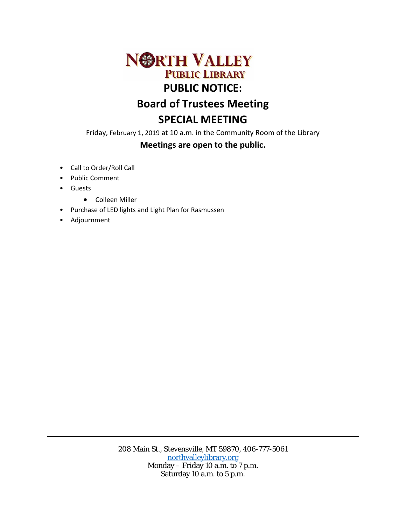

Friday, February 1, 2019 at 10 a.m. in the Community Room of the Library **Meetings are open to the public.** 

- Call to Order/Roll Call
- Public Comment
- Guests
	- Colleen Miller
- Purchase of LED lights and Light Plan for Rasmussen
- Adjournment

208 Main St., Stevensville, MT 59870, 406-777-5061 [northvalleylibrary.org](http://www.northvalleylibrary.org/) Monday – Friday 10 a.m. to 7 p.m. Saturday 10 a.m. to 5 p.m.